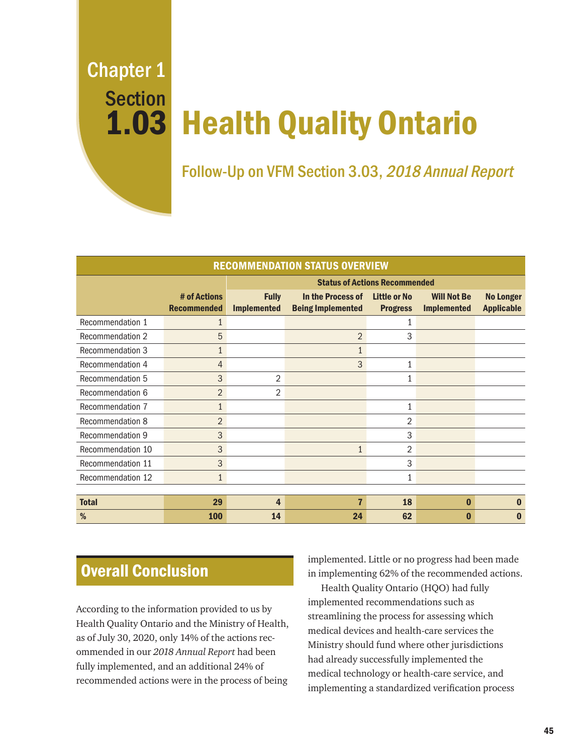Chapter 1 Section 1.03

# Health Quality Ontario

Follow-Up on VFM Section 3.03, 2018 Annual Report

| <b>RECOMMENDATION STATUS OVERVIEW</b> |                                    |                                      |                                               |                                 |                                          |                                       |
|---------------------------------------|------------------------------------|--------------------------------------|-----------------------------------------------|---------------------------------|------------------------------------------|---------------------------------------|
|                                       |                                    | <b>Status of Actions Recommended</b> |                                               |                                 |                                          |                                       |
|                                       | # of Actions<br><b>Recommended</b> | <b>Fully</b><br><b>Implemented</b>   | In the Process of<br><b>Being Implemented</b> | Little or No<br><b>Progress</b> | <b>Will Not Be</b><br><b>Implemented</b> | <b>No Longer</b><br><b>Applicable</b> |
| Recommendation 1                      | $\mathbf{1}$                       |                                      |                                               | 1                               |                                          |                                       |
| Recommendation 2                      | 5                                  |                                      | $\overline{2}$                                | 3                               |                                          |                                       |
| Recommendation 3                      | $\mathbf{1}$                       |                                      | $\mathbf{1}$                                  |                                 |                                          |                                       |
| Recommendation 4                      | $\overline{4}$                     |                                      | 3                                             | 1                               |                                          |                                       |
| Recommendation 5                      | 3                                  | 2                                    |                                               | 1                               |                                          |                                       |
| Recommendation 6                      | 2                                  | 2                                    |                                               |                                 |                                          |                                       |
| Recommendation 7                      | $\mathbf{1}$                       |                                      |                                               | 1                               |                                          |                                       |
| Recommendation 8                      | 2                                  |                                      |                                               | 2                               |                                          |                                       |
| Recommendation 9                      | 3                                  |                                      |                                               | 3                               |                                          |                                       |
| Recommendation 10                     | 3                                  |                                      | $\mathbf{1}$                                  | 2                               |                                          |                                       |
| Recommendation 11                     | 3                                  |                                      |                                               | 3                               |                                          |                                       |
| Recommendation 12                     | $\mathbf{1}$                       |                                      |                                               | $\mathbf{1}$                    |                                          |                                       |
|                                       |                                    |                                      |                                               |                                 |                                          |                                       |
| <b>Total</b>                          | 29                                 | 4                                    | 7                                             | 18                              | $\bf{0}$                                 | n                                     |
| %                                     | <b>100</b>                         | 14                                   | 24                                            | 62                              | Ω                                        |                                       |

# Overall Conclusion

According to the information provided to us by Health Quality Ontario and the Ministry of Health, as of July 30, 2020, only 14% of the actions recommended in our *2018 Annual Report* had been fully implemented, and an additional 24% of recommended actions were in the process of being

implemented. Little or no progress had been made in implementing 62% of the recommended actions.

Health Quality Ontario (HQO) had fully implemented recommendations such as streamlining the process for assessing which medical devices and health-care services the Ministry should fund where other jurisdictions had already successfully implemented the medical technology or health-care service, and implementing a standardized verification process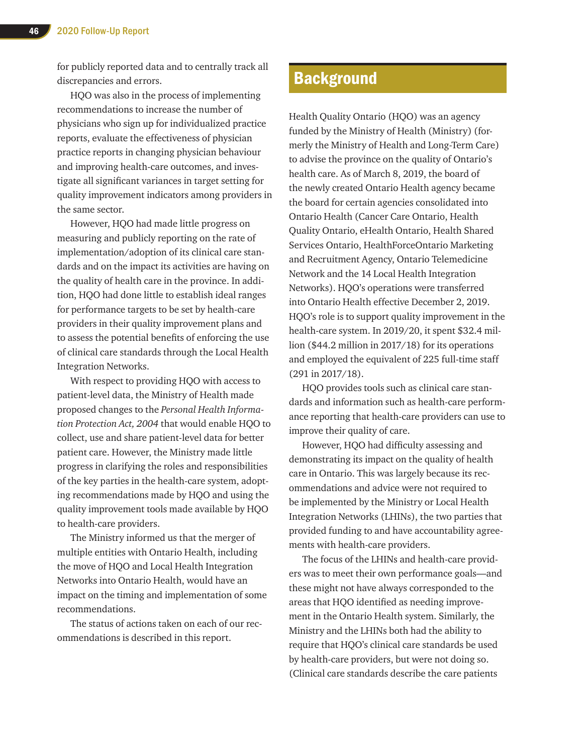for publicly reported data and to centrally track all discrepancies and errors.

HQO was also in the process of implementing recommendations to increase the number of physicians who sign up for individualized practice reports, evaluate the effectiveness of physician practice reports in changing physician behaviour and improving health-care outcomes, and investigate all significant variances in target setting for quality improvement indicators among providers in the same sector.

However, HQO had made little progress on measuring and publicly reporting on the rate of implementation/adoption of its clinical care standards and on the impact its activities are having on the quality of health care in the province. In addition, HQO had done little to establish ideal ranges for performance targets to be set by health-care providers in their quality improvement plans and to assess the potential benefits of enforcing the use of clinical care standards through the Local Health Integration Networks.

With respect to providing HQO with access to patient-level data, the Ministry of Health made proposed changes to the *Personal Health Information Protection Act, 2004* that would enable HQO to collect, use and share patient-level data for better patient care. However, the Ministry made little progress in clarifying the roles and responsibilities of the key parties in the health-care system, adopting recommendations made by HQO and using the quality improvement tools made available by HQO to health-care providers.

The Ministry informed us that the merger of multiple entities with Ontario Health, including the move of HQO and Local Health Integration Networks into Ontario Health, would have an impact on the timing and implementation of some recommendations.

The status of actions taken on each of our recommendations is described in this report.

# **Background**

Health Quality Ontario (HQO) was an agency funded by the Ministry of Health (Ministry) (formerly the Ministry of Health and Long-Term Care) to advise the province on the quality of Ontario's health care. As of March 8, 2019, the board of the newly created Ontario Health agency became the board for certain agencies consolidated into Ontario Health (Cancer Care Ontario, Health Quality Ontario, eHealth Ontario, Health Shared Services Ontario, HealthForceOntario Marketing and Recruitment Agency, Ontario Telemedicine Network and the 14 Local Health Integration Networks). HQO's operations were transferred into Ontario Health effective December 2, 2019. HQO's role is to support quality improvement in the health-care system. In 2019/20, it spent \$32.4 million (\$44.2 million in 2017/18) for its operations and employed the equivalent of 225 full-time staff (291 in 2017/18).

HQO provides tools such as clinical care standards and information such as health-care performance reporting that health-care providers can use to improve their quality of care.

However, HQO had difficulty assessing and demonstrating its impact on the quality of health care in Ontario. This was largely because its recommendations and advice were not required to be implemented by the Ministry or Local Health Integration Networks (LHINs), the two parties that provided funding to and have accountability agreements with health-care providers.

The focus of the LHINs and health-care providers was to meet their own performance goals—and these might not have always corresponded to the areas that HQO identified as needing improvement in the Ontario Health system. Similarly, the Ministry and the LHINs both had the ability to require that HQO's clinical care standards be used by health-care providers, but were not doing so. (Clinical care standards describe the care patients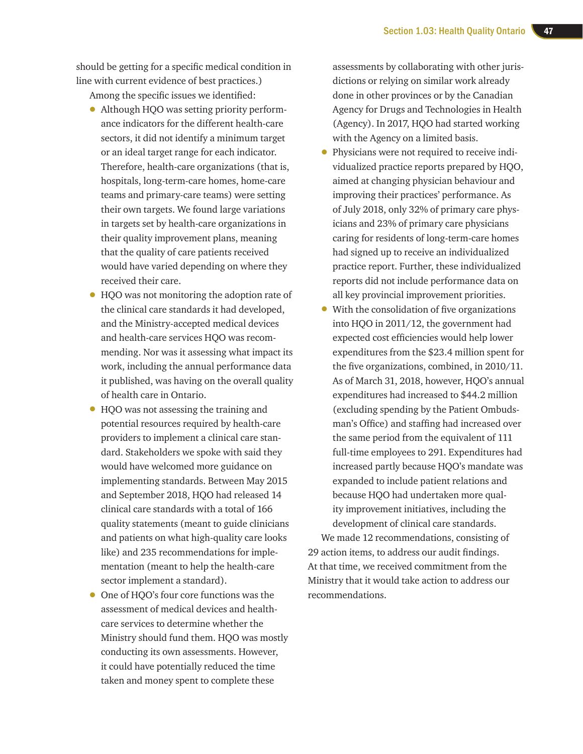should be getting for a specific medical condition in line with current evidence of best practices.)

Among the specific issues we identified:

- Although HQO was setting priority performance indicators for the different health-care sectors, it did not identify a minimum target or an ideal target range for each indicator. Therefore, health-care organizations (that is, hospitals, long-term-care homes, home-care teams and primary-care teams) were setting their own targets. We found large variations in targets set by health-care organizations in their quality improvement plans, meaning that the quality of care patients received would have varied depending on where they received their care.
- HQO was not monitoring the adoption rate of the clinical care standards it had developed, and the Ministry-accepted medical devices and health-care services HQO was recommending. Nor was it assessing what impact its work, including the annual performance data it published, was having on the overall quality of health care in Ontario.
- HQO was not assessing the training and potential resources required by health-care providers to implement a clinical care standard. Stakeholders we spoke with said they would have welcomed more guidance on implementing standards. Between May 2015 and September 2018, HQO had released 14 clinical care standards with a total of 166 quality statements (meant to guide clinicians and patients on what high-quality care looks like) and 235 recommendations for implementation (meant to help the health-care sector implement a standard).
- One of HOO's four core functions was the assessment of medical devices and healthcare services to determine whether the Ministry should fund them. HQO was mostly conducting its own assessments. However, it could have potentially reduced the time taken and money spent to complete these

assessments by collaborating with other jurisdictions or relying on similar work already done in other provinces or by the Canadian Agency for Drugs and Technologies in Health (Agency). In 2017, HQO had started working with the Agency on a limited basis.

- Physicians were not required to receive individualized practice reports prepared by HQO, aimed at changing physician behaviour and improving their practices' performance. As of July 2018, only 32% of primary care physicians and 23% of primary care physicians caring for residents of long-term-care homes had signed up to receive an individualized practice report. Further, these individualized reports did not include performance data on all key provincial improvement priorities.
- With the consolidation of five organizations into HQO in 2011/12, the government had expected cost efficiencies would help lower expenditures from the \$23.4 million spent for the five organizations, combined, in 2010/11. As of March 31, 2018, however, HQO's annual expenditures had increased to \$44.2 million (excluding spending by the Patient Ombudsman's Office) and staffing had increased over the same period from the equivalent of 111 full-time employees to 291. Expenditures had increased partly because HQO's mandate was expanded to include patient relations and because HQO had undertaken more quality improvement initiatives, including the development of clinical care standards.

We made 12 recommendations, consisting of 29 action items, to address our audit findings. At that time, we received commitment from the Ministry that it would take action to address our recommendations.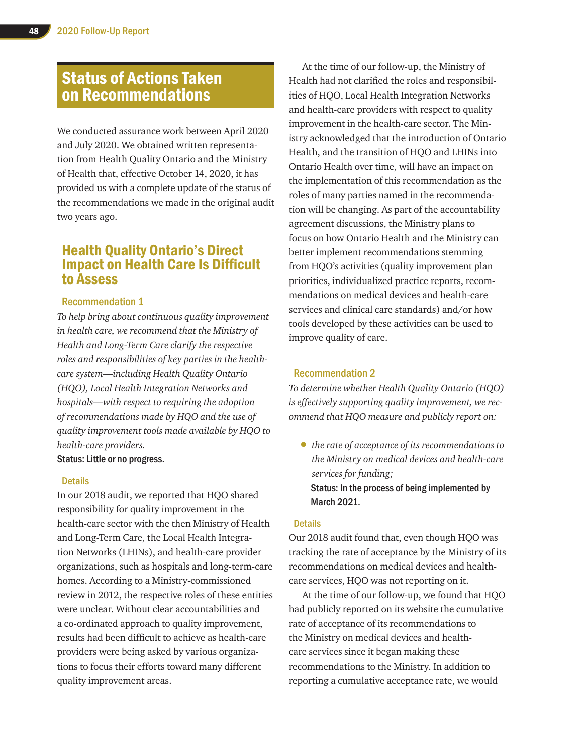# Status of Actions Taken on Recommendations

We conducted assurance work between April 2020 and July 2020. We obtained written representation from Health Quality Ontario and the Ministry of Health that, effective October 14, 2020, it has provided us with a complete update of the status of the recommendations we made in the original audit two years ago.

# Health Quality Ontario's Direct Impact on Health Care Is Difficult to Assess

#### Recommendation 1

*To help bring about continuous quality improvement in health care, we recommend that the Ministry of Health and Long-Term Care clarify the respective roles and responsibilities of key parties in the healthcare system—including Health Quality Ontario (HQO), Local Health Integration Networks and hospitals—with respect to requiring the adoption of recommendations made by HQO and the use of quality improvement tools made available by HQO to health-care providers.*

Status: Little or no progress.

#### **Details**

In our 2018 audit, we reported that HQO shared responsibility for quality improvement in the health-care sector with the then Ministry of Health and Long-Term Care, the Local Health Integration Networks (LHINs), and health-care provider organizations, such as hospitals and long-term-care homes. According to a Ministry-commissioned review in 2012, the respective roles of these entities were unclear. Without clear accountabilities and a co-ordinated approach to quality improvement, results had been difficult to achieve as health-care providers were being asked by various organizations to focus their efforts toward many different quality improvement areas.

At the time of our follow-up, the Ministry of Health had not clarified the roles and responsibilities of HQO, Local Health Integration Networks and health-care providers with respect to quality improvement in the health-care sector. The Ministry acknowledged that the introduction of Ontario Health, and the transition of HQO and LHINs into Ontario Health over time, will have an impact on the implementation of this recommendation as the roles of many parties named in the recommendation will be changing. As part of the accountability agreement discussions, the Ministry plans to focus on how Ontario Health and the Ministry can better implement recommendations stemming from HQO's activities (quality improvement plan priorities, individualized practice reports, recommendations on medical devices and health-care services and clinical care standards) and/or how tools developed by these activities can be used to improve quality of care.

#### Recommendation 2

*To determine whether Health Quality Ontario (HQO) is effectively supporting quality improvement, we recommend that HQO measure and publicly report on:*

• *the rate of acceptance of its recommendations to the Ministry on medical devices and health-care services for funding;*  Status: In the process of being implemented by March 2021.

#### **Details**

Our 2018 audit found that, even though HQO was tracking the rate of acceptance by the Ministry of its recommendations on medical devices and healthcare services, HQO was not reporting on it.

At the time of our follow-up, we found that HQO had publicly reported on its website the cumulative rate of acceptance of its recommendations to the Ministry on medical devices and healthcare services since it began making these recommendations to the Ministry. In addition to reporting a cumulative acceptance rate, we would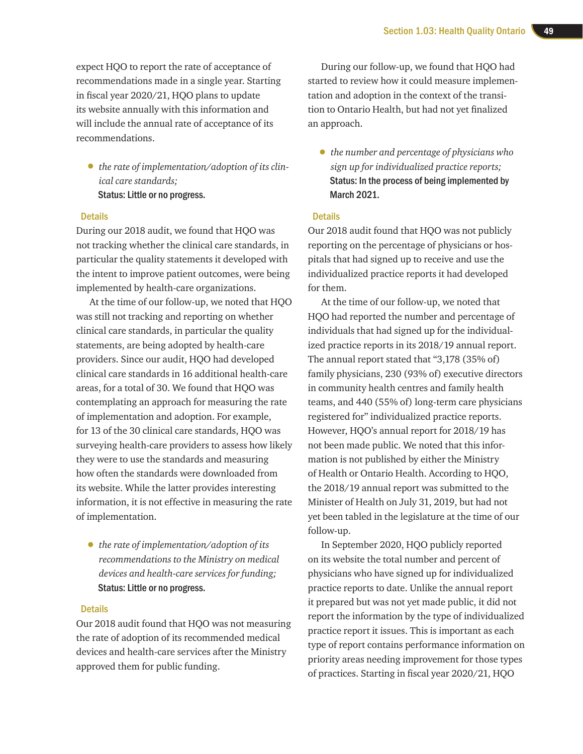expect HQO to report the rate of acceptance of recommendations made in a single year. Starting in fiscal year 2020/21, HQO plans to update its website annually with this information and will include the annual rate of acceptance of its recommendations.

• *the rate of implementation/adoption of its clinical care standards;* Status: Little or no progress.

#### **Details**

During our 2018 audit, we found that HQO was not tracking whether the clinical care standards, in particular the quality statements it developed with the intent to improve patient outcomes, were being implemented by health-care organizations.

At the time of our follow-up, we noted that HQO was still not tracking and reporting on whether clinical care standards, in particular the quality statements, are being adopted by health-care providers. Since our audit, HQO had developed clinical care standards in 16 additional health-care areas, for a total of 30. We found that HQO was contemplating an approach for measuring the rate of implementation and adoption. For example, for 13 of the 30 clinical care standards, HQO was surveying health-care providers to assess how likely they were to use the standards and measuring how often the standards were downloaded from its website. While the latter provides interesting information, it is not effective in measuring the rate of implementation.

• *the rate of implementation/adoption of its recommendations to the Ministry on medical devices and health-care services for funding;*  Status: Little or no progress.

#### **Details**

Our 2018 audit found that HQO was not measuring the rate of adoption of its recommended medical devices and health-care services after the Ministry approved them for public funding.

During our follow-up, we found that HQO had started to review how it could measure implementation and adoption in the context of the transition to Ontario Health, but had not yet finalized an approach.

• *the number and percentage of physicians who sign up for individualized practice reports;*  Status: In the process of being implemented by March 2021.

#### **Details**

Our 2018 audit found that HQO was not publicly reporting on the percentage of physicians or hospitals that had signed up to receive and use the individualized practice reports it had developed for them.

At the time of our follow-up, we noted that HQO had reported the number and percentage of individuals that had signed up for the individualized practice reports in its 2018/19 annual report. The annual report stated that "3,178 (35% of) family physicians, 230 (93% of) executive directors in community health centres and family health teams, and 440 (55% of) long-term care physicians registered for" individualized practice reports. However, HQO's annual report for 2018/19 has not been made public. We noted that this information is not published by either the Ministry of Health or Ontario Health. According to HQO, the 2018/19 annual report was submitted to the Minister of Health on July 31, 2019, but had not yet been tabled in the legislature at the time of our follow-up.

In September 2020, HQO publicly reported on its website the total number and percent of physicians who have signed up for individualized practice reports to date. Unlike the annual report it prepared but was not yet made public, it did not report the information by the type of individualized practice report it issues. This is important as each type of report contains performance information on priority areas needing improvement for those types of practices. Starting in fiscal year 2020/21, HQO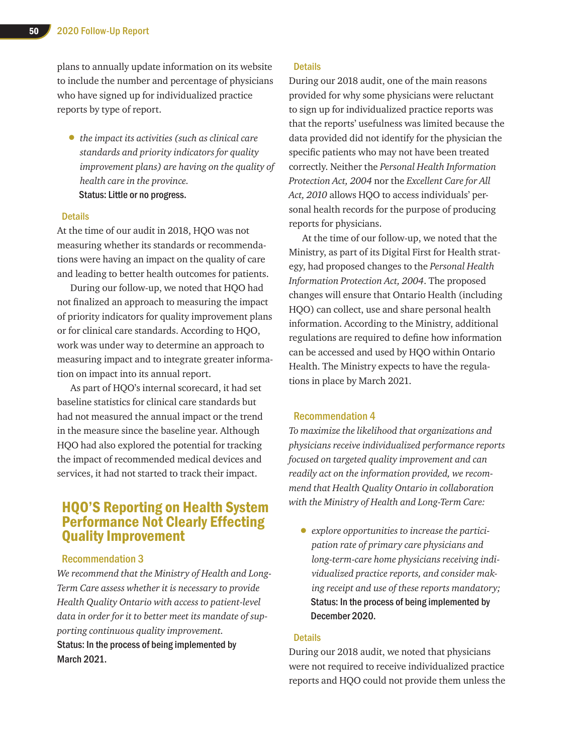plans to annually update information on its website to include the number and percentage of physicians who have signed up for individualized practice reports by type of report.

• *the impact its activities (such as clinical care standards and priority indicators for quality improvement plans) are having on the quality of health care in the province.*  Status: Little or no progress.

#### **Details**

At the time of our audit in 2018, HQO was not measuring whether its standards or recommendations were having an impact on the quality of care and leading to better health outcomes for patients.

During our follow-up, we noted that HQO had not finalized an approach to measuring the impact of priority indicators for quality improvement plans or for clinical care standards. According to HQO, work was under way to determine an approach to measuring impact and to integrate greater information on impact into its annual report.

As part of HQO's internal scorecard, it had set baseline statistics for clinical care standards but had not measured the annual impact or the trend in the measure since the baseline year. Although HQO had also explored the potential for tracking the impact of recommended medical devices and services, it had not started to track their impact.

## HQO'S Reporting on Health System Performance Not Clearly Effecting Quality Improvement

#### Recommendation 3

*We recommend that the Ministry of Health and Long-Term Care assess whether it is necessary to provide Health Quality Ontario with access to patient-level data in order for it to better meet its mandate of supporting continuous quality improvement.* Status: In the process of being implemented by March 2021.

#### **Details**

During our 2018 audit, one of the main reasons provided for why some physicians were reluctant to sign up for individualized practice reports was that the reports' usefulness was limited because the data provided did not identify for the physician the specific patients who may not have been treated correctly. Neither the *Personal Health Information Protection Act, 2004* nor the *Excellent Care for All Act, 2010* allows HQO to access individuals' personal health records for the purpose of producing reports for physicians.

At the time of our follow-up, we noted that the Ministry, as part of its Digital First for Health strategy, had proposed changes to the *Personal Health Information Protection Act, 2004*. The proposed changes will ensure that Ontario Health (including HQO) can collect, use and share personal health information. According to the Ministry, additional regulations are required to define how information can be accessed and used by HQO within Ontario Health. The Ministry expects to have the regulations in place by March 2021.

#### Recommendation 4

*To maximize the likelihood that organizations and physicians receive individualized performance reports focused on targeted quality improvement and can readily act on the information provided, we recommend that Health Quality Ontario in collaboration with the Ministry of Health and Long-Term Care:* 

• *explore opportunities to increase the participation rate of primary care physicians and long-term-care home physicians receiving individualized practice reports, and consider making receipt and use of these reports mandatory;*  Status: In the process of being implemented by December 2020.

#### **Details**

During our 2018 audit, we noted that physicians were not required to receive individualized practice reports and HQO could not provide them unless the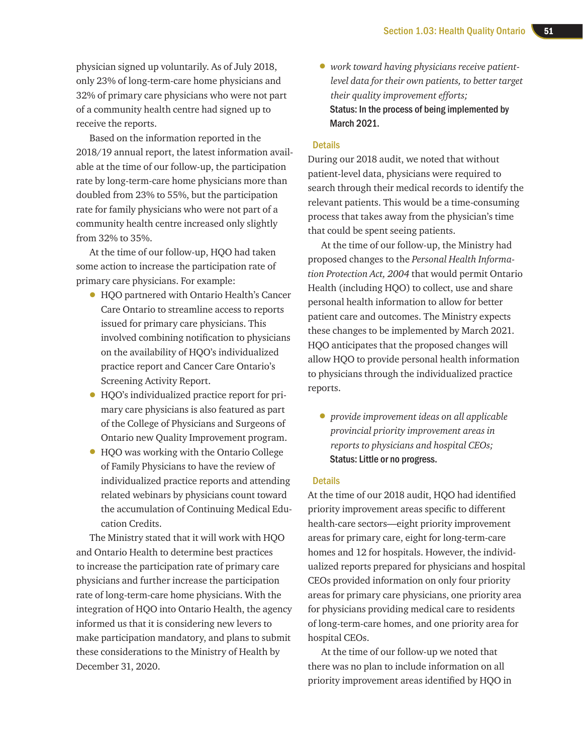physician signed up voluntarily. As of July 2018, only 23% of long-term-care home physicians and 32% of primary care physicians who were not part of a community health centre had signed up to receive the reports.

Based on the information reported in the 2018/19 annual report, the latest information available at the time of our follow-up, the participation rate by long-term-care home physicians more than doubled from 23% to 55%, but the participation rate for family physicians who were not part of a community health centre increased only slightly from 32% to 35%.

At the time of our follow-up, HQO had taken some action to increase the participation rate of primary care physicians. For example:

- HQO partnered with Ontario Health's Cancer Care Ontario to streamline access to reports issued for primary care physicians. This involved combining notification to physicians on the availability of HQO's individualized practice report and Cancer Care Ontario's Screening Activity Report.
- HQO's individualized practice report for primary care physicians is also featured as part of the College of Physicians and Surgeons of Ontario new Quality Improvement program.
- HQO was working with the Ontario College of Family Physicians to have the review of individualized practice reports and attending related webinars by physicians count toward the accumulation of Continuing Medical Education Credits.

The Ministry stated that it will work with HQO and Ontario Health to determine best practices to increase the participation rate of primary care physicians and further increase the participation rate of long-term-care home physicians. With the integration of HQO into Ontario Health, the agency informed us that it is considering new levers to make participation mandatory, and plans to submit these considerations to the Ministry of Health by December 31, 2020.

• *work toward having physicians receive patientlevel data for their own patients, to better target their quality improvement efforts;*  Status: In the process of being implemented by March 2021.

#### **Details**

During our 2018 audit, we noted that without patient-level data, physicians were required to search through their medical records to identify the relevant patients. This would be a time-consuming process that takes away from the physician's time that could be spent seeing patients.

At the time of our follow-up, the Ministry had proposed changes to the *Personal Health Information Protection Act, 2004* that would permit Ontario Health (including HQO) to collect, use and share personal health information to allow for better patient care and outcomes. The Ministry expects these changes to be implemented by March 2021. HQO anticipates that the proposed changes will allow HQO to provide personal health information to physicians through the individualized practice reports.

• *provide improvement ideas on all applicable provincial priority improvement areas in reports to physicians and hospital CEOs;*  Status: Little or no progress.

#### **Details**

At the time of our 2018 audit, HQO had identified priority improvement areas specific to different health-care sectors—eight priority improvement areas for primary care, eight for long-term-care homes and 12 for hospitals. However, the individualized reports prepared for physicians and hospital CEOs provided information on only four priority areas for primary care physicians, one priority area for physicians providing medical care to residents of long-term-care homes, and one priority area for hospital CEOs.

At the time of our follow-up we noted that there was no plan to include information on all priority improvement areas identified by HQO in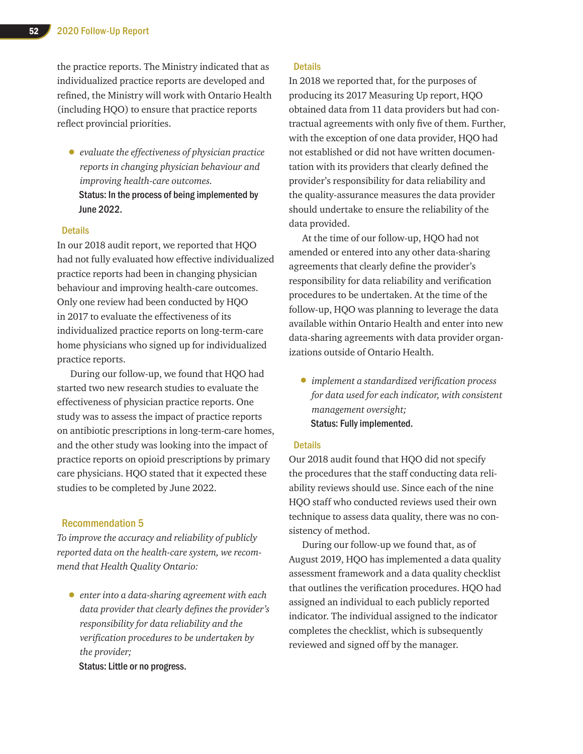the practice reports. The Ministry indicated that as individualized practice reports are developed and refined, the Ministry will work with Ontario Health (including HQO) to ensure that practice reports reflect provincial priorities.

• *evaluate the effectiveness of physician practice reports in changing physician behaviour and improving health-care outcomes.*  Status: In the process of being implemented by June 2022.

#### **Details**

In our 2018 audit report, we reported that HQO had not fully evaluated how effective individualized practice reports had been in changing physician behaviour and improving health-care outcomes. Only one review had been conducted by HQO in 2017 to evaluate the effectiveness of its individualized practice reports on long-term-care home physicians who signed up for individualized practice reports.

During our follow-up, we found that HQO had started two new research studies to evaluate the effectiveness of physician practice reports. One study was to assess the impact of practice reports on antibiotic prescriptions in long-term-care homes, and the other study was looking into the impact of practice reports on opioid prescriptions by primary care physicians. HQO stated that it expected these studies to be completed by June 2022.

#### Recommendation 5

*To improve the accuracy and reliability of publicly reported data on the health-care system, we recommend that Health Quality Ontario:* 

• *enter into a data-sharing agreement with each data provider that clearly defines the provider's responsibility for data reliability and the verification procedures to be undertaken by the provider;* 

Status: Little or no progress.

#### **Details**

In 2018 we reported that, for the purposes of producing its 2017 Measuring Up report, HQO obtained data from 11 data providers but had contractual agreements with only five of them. Further, with the exception of one data provider, HQO had not established or did not have written documentation with its providers that clearly defined the provider's responsibility for data reliability and the quality-assurance measures the data provider should undertake to ensure the reliability of the data provided.

At the time of our follow-up, HQO had not amended or entered into any other data-sharing agreements that clearly define the provider's responsibility for data reliability and verification procedures to be undertaken. At the time of the follow-up, HQO was planning to leverage the data available within Ontario Health and enter into new data-sharing agreements with data provider organizations outside of Ontario Health.

• *implement a standardized verification process for data used for each indicator, with consistent management oversight;*  Status: Fully implemented.

#### **Details**

Our 2018 audit found that HQO did not specify the procedures that the staff conducting data reliability reviews should use. Since each of the nine HQO staff who conducted reviews used their own technique to assess data quality, there was no consistency of method.

During our follow-up we found that, as of August 2019, HQO has implemented a data quality assessment framework and a data quality checklist that outlines the verification procedures. HQO had assigned an individual to each publicly reported indicator. The individual assigned to the indicator completes the checklist, which is subsequently reviewed and signed off by the manager.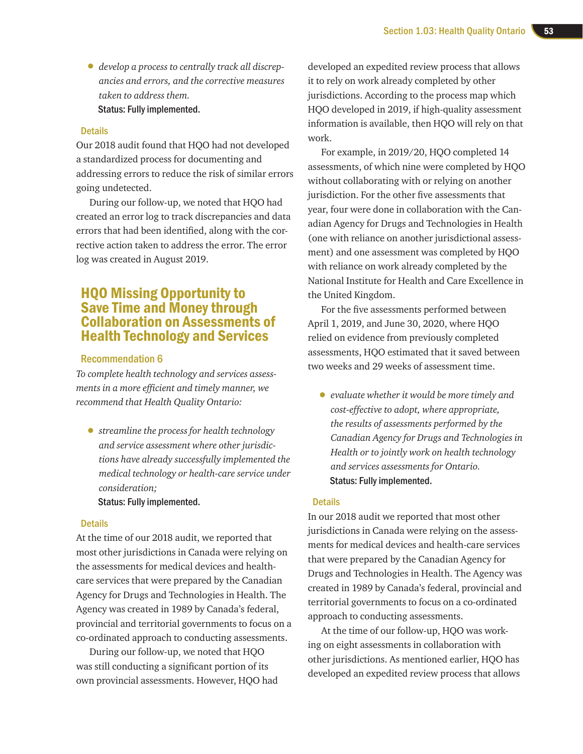• *develop a process to centrally track all discrepancies and errors, and the corrective measures taken to address them.*  Status: Fully implemented.

#### **Details**

Our 2018 audit found that HQO had not developed a standardized process for documenting and addressing errors to reduce the risk of similar errors going undetected.

During our follow-up, we noted that HQO had created an error log to track discrepancies and data errors that had been identified, along with the corrective action taken to address the error. The error log was created in August 2019.

## HQO Missing Opportunity to Save Time and Money through Collaboration on Assessments of Health Technology and Services

#### Recommendation 6

*To complete health technology and services assessments in a more efficient and timely manner, we recommend that Health Quality Ontario:* 

• *streamline the process for health technology and service assessment where other jurisdictions have already successfully implemented the medical technology or health-care service under consideration;* 

#### Status: Fully implemented.

#### **Details**

At the time of our 2018 audit, we reported that most other jurisdictions in Canada were relying on the assessments for medical devices and healthcare services that were prepared by the Canadian Agency for Drugs and Technologies in Health. The Agency was created in 1989 by Canada's federal, provincial and territorial governments to focus on a co-ordinated approach to conducting assessments.

During our follow-up, we noted that HQO was still conducting a significant portion of its own provincial assessments. However, HQO had

developed an expedited review process that allows it to rely on work already completed by other jurisdictions. According to the process map which HQO developed in 2019, if high-quality assessment information is available, then HQO will rely on that work.

For example, in 2019/20, HQO completed 14 assessments, of which nine were completed by HQO without collaborating with or relying on another jurisdiction. For the other five assessments that year, four were done in collaboration with the Canadian Agency for Drugs and Technologies in Health (one with reliance on another jurisdictional assessment) and one assessment was completed by HQO with reliance on work already completed by the National Institute for Health and Care Excellence in the United Kingdom.

For the five assessments performed between April 1, 2019, and June 30, 2020, where HQO relied on evidence from previously completed assessments, HQO estimated that it saved between two weeks and 29 weeks of assessment time.

• *evaluate whether it would be more timely and cost-effective to adopt, where appropriate, the results of assessments performed by the Canadian Agency for Drugs and Technologies in Health or to jointly work on health technology and services assessments for Ontario.*  Status: Fully implemented.

#### **Details**

In our 2018 audit we reported that most other jurisdictions in Canada were relying on the assessments for medical devices and health-care services that were prepared by the Canadian Agency for Drugs and Technologies in Health. The Agency was created in 1989 by Canada's federal, provincial and territorial governments to focus on a co-ordinated approach to conducting assessments.

At the time of our follow-up, HQO was working on eight assessments in collaboration with other jurisdictions. As mentioned earlier, HQO has developed an expedited review process that allows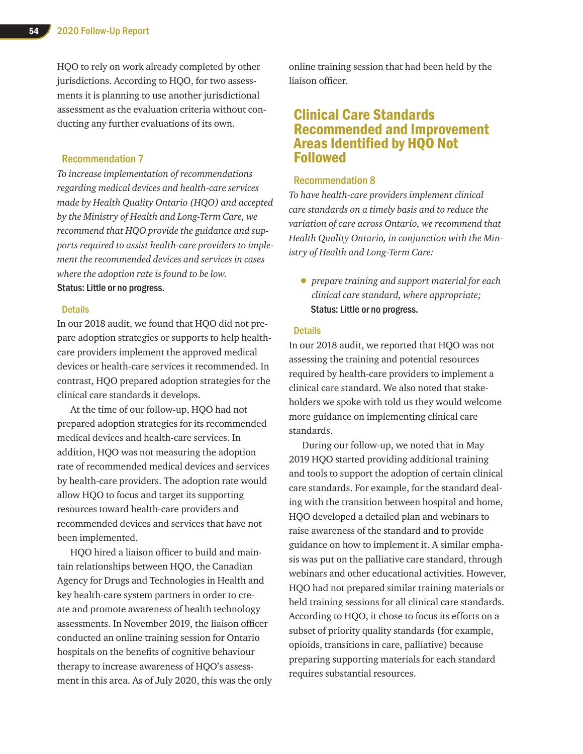HQO to rely on work already completed by other jurisdictions. According to HQO, for two assessments it is planning to use another jurisdictional assessment as the evaluation criteria without conducting any further evaluations of its own.

#### Recommendation 7

*To increase implementation of recommendations regarding medical devices and health-care services made by Health Quality Ontario (HQO) and accepted by the Ministry of Health and Long-Term Care, we recommend that HQO provide the guidance and supports required to assist health-care providers to implement the recommended devices and services in cases where the adoption rate is found to be low.* Status: Little or no progress.

#### **Details**

In our 2018 audit, we found that HQO did not prepare adoption strategies or supports to help healthcare providers implement the approved medical devices or health-care services it recommended. In contrast, HQO prepared adoption strategies for the clinical care standards it develops.

At the time of our follow-up, HQO had not prepared adoption strategies for its recommended medical devices and health-care services. In addition, HQO was not measuring the adoption rate of recommended medical devices and services by health-care providers. The adoption rate would allow HQO to focus and target its supporting resources toward health-care providers and recommended devices and services that have not been implemented.

HQO hired a liaison officer to build and maintain relationships between HQO, the Canadian Agency for Drugs and Technologies in Health and key health-care system partners in order to create and promote awareness of health technology assessments. In November 2019, the liaison officer conducted an online training session for Ontario hospitals on the benefits of cognitive behaviour therapy to increase awareness of HQO's assessment in this area. As of July 2020, this was the only online training session that had been held by the liaison officer.

### Clinical Care Standards Recommended and Improvement Areas Identified by HQO Not Followed

#### Recommendation 8

*To have health-care providers implement clinical care standards on a timely basis and to reduce the variation of care across Ontario, we recommend that Health Quality Ontario, in conjunction with the Ministry of Health and Long-Term Care:*

• *prepare training and support material for each clinical care standard, where appropriate;*  Status: Little or no progress.

#### **Details**

In our 2018 audit, we reported that HQO was not assessing the training and potential resources required by health-care providers to implement a clinical care standard. We also noted that stakeholders we spoke with told us they would welcome more guidance on implementing clinical care standards.

During our follow-up, we noted that in May 2019 HQO started providing additional training and tools to support the adoption of certain clinical care standards. For example, for the standard dealing with the transition between hospital and home, HQO developed a detailed plan and webinars to raise awareness of the standard and to provide guidance on how to implement it. A similar emphasis was put on the palliative care standard, through webinars and other educational activities. However, HQO had not prepared similar training materials or held training sessions for all clinical care standards. According to HQO, it chose to focus its efforts on a subset of priority quality standards (for example, opioids, transitions in care, palliative) because preparing supporting materials for each standard requires substantial resources.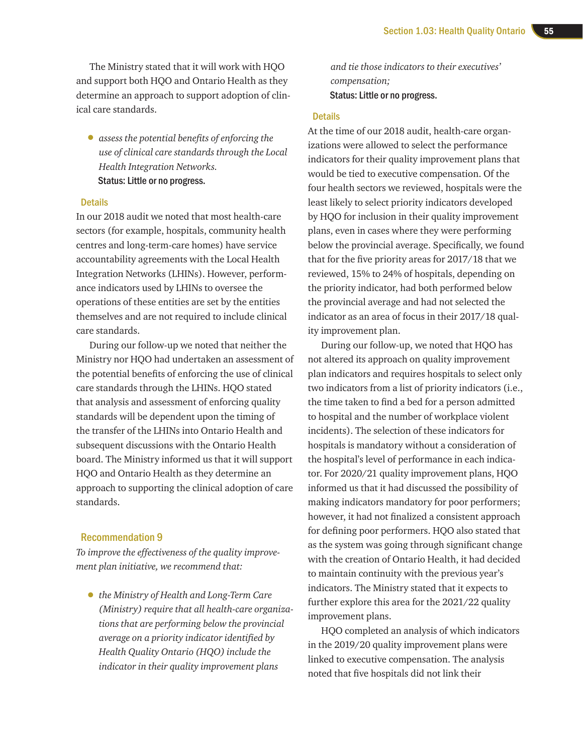The Ministry stated that it will work with HQO and support both HQO and Ontario Health as they determine an approach to support adoption of clinical care standards.

• *assess the potential benefits of enforcing the use of clinical care standards through the Local Health Integration Networks.*  Status: Little or no progress.

#### **Details**

In our 2018 audit we noted that most health-care sectors (for example, hospitals, community health centres and long-term-care homes) have service accountability agreements with the Local Health Integration Networks (LHINs). However, performance indicators used by LHINs to oversee the operations of these entities are set by the entities themselves and are not required to include clinical care standards.

During our follow-up we noted that neither the Ministry nor HQO had undertaken an assessment of the potential benefits of enforcing the use of clinical care standards through the LHINs. HQO stated that analysis and assessment of enforcing quality standards will be dependent upon the timing of the transfer of the LHINs into Ontario Health and subsequent discussions with the Ontario Health board. The Ministry informed us that it will support HQO and Ontario Health as they determine an approach to supporting the clinical adoption of care standards.

#### Recommendation 9

*To improve the effectiveness of the quality improvement plan initiative, we recommend that:* 

• *the Ministry of Health and Long-Term Care (Ministry) require that all health-care organizations that are performing below the provincial average on a priority indicator identified by Health Quality Ontario (HQO) include the indicator in their quality improvement plans* 

*and tie those indicators to their executives' compensation;*  Status: Little or no progress.

#### **Details**

At the time of our 2018 audit, health-care organizations were allowed to select the performance indicators for their quality improvement plans that would be tied to executive compensation. Of the four health sectors we reviewed, hospitals were the least likely to select priority indicators developed by HQO for inclusion in their quality improvement plans, even in cases where they were performing below the provincial average. Specifically, we found that for the five priority areas for 2017/18 that we reviewed, 15% to 24% of hospitals, depending on the priority indicator, had both performed below the provincial average and had not selected the indicator as an area of focus in their 2017/18 quality improvement plan.

During our follow-up, we noted that HQO has not altered its approach on quality improvement plan indicators and requires hospitals to select only two indicators from a list of priority indicators (i.e., the time taken to find a bed for a person admitted to hospital and the number of workplace violent incidents). The selection of these indicators for hospitals is mandatory without a consideration of the hospital's level of performance in each indicator. For 2020/21 quality improvement plans, HQO informed us that it had discussed the possibility of making indicators mandatory for poor performers; however, it had not finalized a consistent approach for defining poor performers. HQO also stated that as the system was going through significant change with the creation of Ontario Health, it had decided to maintain continuity with the previous year's indicators. The Ministry stated that it expects to further explore this area for the 2021/22 quality improvement plans.

HQO completed an analysis of which indicators in the 2019/20 quality improvement plans were linked to executive compensation. The analysis noted that five hospitals did not link their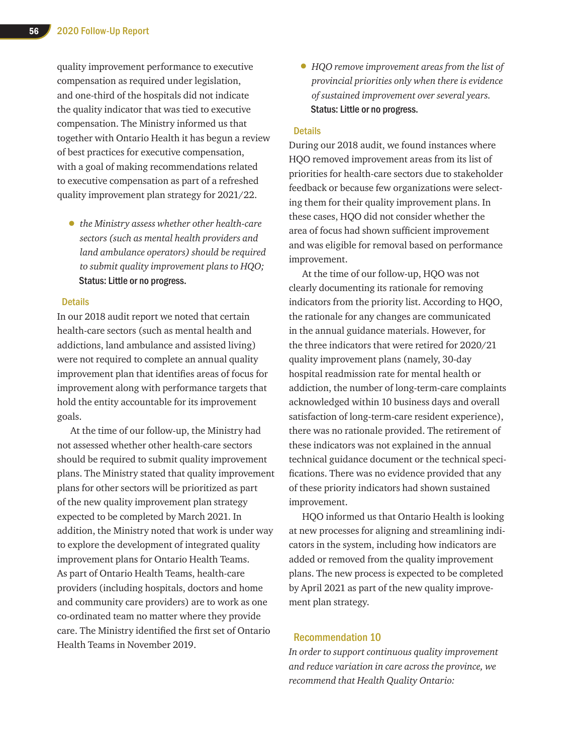quality improvement performance to executive compensation as required under legislation, and one-third of the hospitals did not indicate the quality indicator that was tied to executive compensation. The Ministry informed us that together with Ontario Health it has begun a review of best practices for executive compensation, with a goal of making recommendations related to executive compensation as part of a refreshed quality improvement plan strategy for 2021/22.

• *the Ministry assess whether other health-care sectors (such as mental health providers and land ambulance operators) should be required to submit quality improvement plans to HQO;*  Status: Little or no progress.

#### **Details**

In our 2018 audit report we noted that certain health-care sectors (such as mental health and addictions, land ambulance and assisted living) were not required to complete an annual quality improvement plan that identifies areas of focus for improvement along with performance targets that hold the entity accountable for its improvement goals.

At the time of our follow-up, the Ministry had not assessed whether other health-care sectors should be required to submit quality improvement plans. The Ministry stated that quality improvement plans for other sectors will be prioritized as part of the new quality improvement plan strategy expected to be completed by March 2021. In addition, the Ministry noted that work is under way to explore the development of integrated quality improvement plans for Ontario Health Teams. As part of Ontario Health Teams, health-care providers (including hospitals, doctors and home and community care providers) are to work as one co-ordinated team no matter where they provide care. The Ministry identified the first set of Ontario Health Teams in November 2019.

• *HQO remove improvement areas from the list of provincial priorities only when there is evidence of sustained improvement over several years.* Status: Little or no progress.

#### **Details**

During our 2018 audit, we found instances where HQO removed improvement areas from its list of priorities for health-care sectors due to stakeholder feedback or because few organizations were selecting them for their quality improvement plans. In these cases, HQO did not consider whether the area of focus had shown sufficient improvement and was eligible for removal based on performance improvement.

At the time of our follow-up, HQO was not clearly documenting its rationale for removing indicators from the priority list. According to HQO, the rationale for any changes are communicated in the annual guidance materials. However, for the three indicators that were retired for 2020/21 quality improvement plans (namely, 30-day hospital readmission rate for mental health or addiction, the number of long-term-care complaints acknowledged within 10 business days and overall satisfaction of long-term-care resident experience), there was no rationale provided. The retirement of these indicators was not explained in the annual technical guidance document or the technical specifications. There was no evidence provided that any of these priority indicators had shown sustained improvement.

HQO informed us that Ontario Health is looking at new processes for aligning and streamlining indicators in the system, including how indicators are added or removed from the quality improvement plans. The new process is expected to be completed by April 2021 as part of the new quality improvement plan strategy.

#### Recommendation 10

*In order to support continuous quality improvement and reduce variation in care across the province, we recommend that Health Quality Ontario:*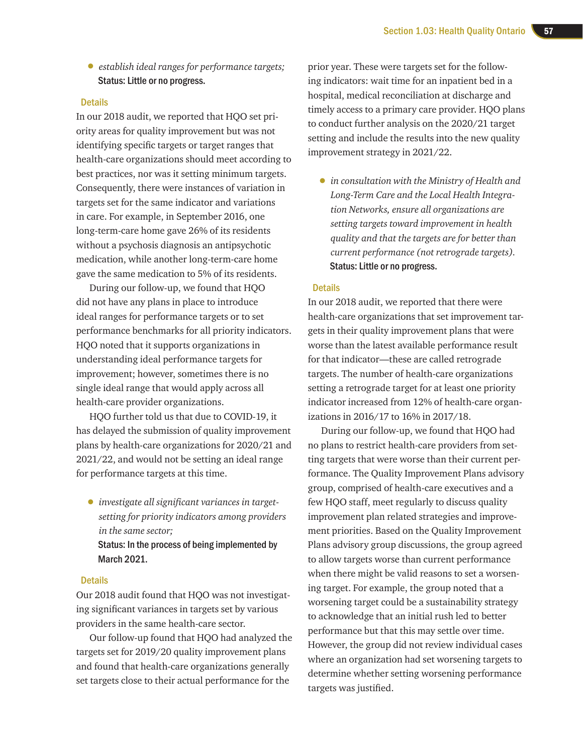• *establish ideal ranges for performance targets;*  Status: Little or no progress.

#### **Details**

In our 2018 audit, we reported that HQO set priority areas for quality improvement but was not identifying specific targets or target ranges that health-care organizations should meet according to best practices, nor was it setting minimum targets. Consequently, there were instances of variation in targets set for the same indicator and variations in care. For example, in September 2016, one long-term-care home gave 26% of its residents without a psychosis diagnosis an antipsychotic medication, while another long-term-care home gave the same medication to 5% of its residents.

During our follow-up, we found that HQO did not have any plans in place to introduce ideal ranges for performance targets or to set performance benchmarks for all priority indicators. HQO noted that it supports organizations in understanding ideal performance targets for improvement; however, sometimes there is no single ideal range that would apply across all health-care provider organizations.

HQO further told us that due to COVID-19, it has delayed the submission of quality improvement plans by health-care organizations for 2020/21 and 2021/22, and would not be setting an ideal range for performance targets at this time.

• *investigate all significant variances in targetsetting for priority indicators among providers in the same sector;*  Status: In the process of being implemented by March 2021.

#### **Details**

Our 2018 audit found that HQO was not investigating significant variances in targets set by various providers in the same health-care sector.

Our follow-up found that HQO had analyzed the targets set for 2019/20 quality improvement plans and found that health-care organizations generally set targets close to their actual performance for the

prior year. These were targets set for the following indicators: wait time for an inpatient bed in a hospital, medical reconciliation at discharge and timely access to a primary care provider. HQO plans to conduct further analysis on the 2020/21 target setting and include the results into the new quality improvement strategy in 2021/22.

• *in consultation with the Ministry of Health and Long-Term Care and the Local Health Integration Networks, ensure all organizations are setting targets toward improvement in health quality and that the targets are for better than current performance (not retrograde targets).*  Status: Little or no progress.

#### **Details**

In our 2018 audit, we reported that there were health-care organizations that set improvement targets in their quality improvement plans that were worse than the latest available performance result for that indicator—these are called retrograde targets. The number of health-care organizations setting a retrograde target for at least one priority indicator increased from 12% of health-care organizations in 2016/17 to 16% in 2017/18.

During our follow-up, we found that HQO had no plans to restrict health-care providers from setting targets that were worse than their current performance. The Quality Improvement Plans advisory group, comprised of health-care executives and a few HQO staff, meet regularly to discuss quality improvement plan related strategies and improvement priorities. Based on the Quality Improvement Plans advisory group discussions, the group agreed to allow targets worse than current performance when there might be valid reasons to set a worsening target. For example, the group noted that a worsening target could be a sustainability strategy to acknowledge that an initial rush led to better performance but that this may settle over time. However, the group did not review individual cases where an organization had set worsening targets to determine whether setting worsening performance targets was justified.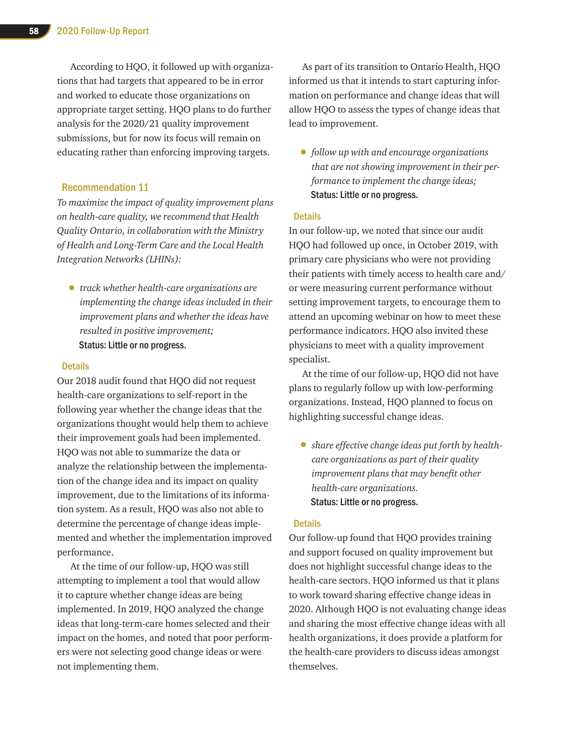According to HQO, it followed up with organizations that had targets that appeared to be in error and worked to educate those organizations on appropriate target setting. HQO plans to do further analysis for the 2020/21 quality improvement submissions, but for now its focus will remain on educating rather than enforcing improving targets.

#### Recommendation 11

*To maximize the impact of quality improvement plans on health-care quality, we recommend that Health Quality Ontario, in collaboration with the Ministry of Health and Long-Term Care and the Local Health Integration Networks (LHINs):* 

• *track whether health-care organizations are implementing the change ideas included in their improvement plans and whether the ideas have resulted in positive improvement;*  Status: Little or no progress.

#### **Details**

Our 2018 audit found that HQO did not request health-care organizations to self-report in the following year whether the change ideas that the organizations thought would help them to achieve their improvement goals had been implemented. HQO was not able to summarize the data or analyze the relationship between the implementation of the change idea and its impact on quality improvement, due to the limitations of its information system. As a result, HQO was also not able to determine the percentage of change ideas implemented and whether the implementation improved performance.

At the time of our follow-up, HQO was still attempting to implement a tool that would allow it to capture whether change ideas are being implemented. In 2019, HQO analyzed the change ideas that long-term-care homes selected and their impact on the homes, and noted that poor performers were not selecting good change ideas or were not implementing them.

As part of its transition to Ontario Health, HQO informed us that it intends to start capturing information on performance and change ideas that will allow HQO to assess the types of change ideas that lead to improvement.

• *follow up with and encourage organizations that are not showing improvement in their performance to implement the change ideas;*  Status: Little or no progress.

#### **Details**

In our follow-up, we noted that since our audit HQO had followed up once, in October 2019, with primary care physicians who were not providing their patients with timely access to health care and/ or were measuring current performance without setting improvement targets, to encourage them to attend an upcoming webinar on how to meet these performance indicators. HQO also invited these physicians to meet with a quality improvement specialist.

At the time of our follow-up, HQO did not have plans to regularly follow up with low-performing organizations. Instead, HQO planned to focus on highlighting successful change ideas.

• *share effective change ideas put forth by healthcare organizations as part of their quality improvement plans that may benefit other health-care organizations.* Status: Little or no progress.

#### **Details**

Our follow-up found that HQO provides training and support focused on quality improvement but does not highlight successful change ideas to the health-care sectors. HQO informed us that it plans to work toward sharing effective change ideas in 2020. Although HQO is not evaluating change ideas and sharing the most effective change ideas with all health organizations, it does provide a platform for the health-care providers to discuss ideas amongst themselves.